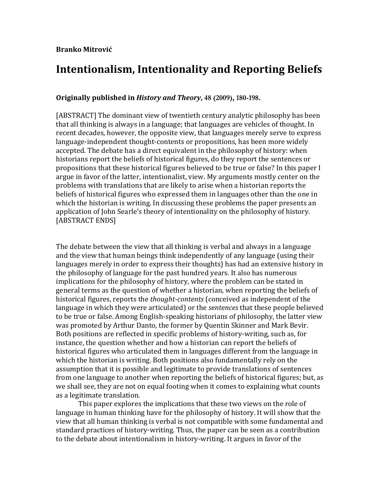# **Branko'Mitrović**

# Intentionalism, Intentionality and Reporting Beliefs

# **Originally published in** *History and Theory***, 48 (2009), 180-198.**

[ABSTRACT] The dominant view of twentieth century analytic philosophy has been that all thinking is always in a language; that languages are vehicles of thought. In recent decades, however, the opposite view, that languages merely serve to express language-independent thought-contents or propositions, has been more widely accepted. The debate has a direct equivalent in the philosophy of history: when historians report the beliefs of historical figures, do they report the sentences or propositions that these historical figures believed to be true or false? In this paper I argue in favor of the latter, intentionalist, view. My arguments mostly center on the problems with translations that are likely to arise when a historian reports the beliefs of historical figures who expressed them in languages other than the one in which the historian is writing. In discussing these problems the paper presents an application of John Searle's theory of intentionality on the philosophy of history. [ABSTRACT ENDS]

The debate between the view that all thinking is verbal and always in a language and the view that human beings think independently of any language (using their languages merely in order to express their thoughts) has had an extensive history in the philosophy of language for the past hundred years. It also has numerous implications for the philosophy of history, where the problem can be stated in general terms as the question of whether a historian, when reporting the beliefs of historical figures, reports the *thought-contents* (conceived as independent of the language in which they were articulated) or the *sentences* that these people believed to be true or false. Among English-speaking historians of philosophy, the latter view was promoted by Arthur Danto, the former by Quentin Skinner and Mark Bevir. Both positions are reflected in specific problems of history-writing, such as, for instance, the question whether and how a historian can report the beliefs of historical figures who articulated them in languages different from the language in which the historian is writing. Both positions also fundamentally rely on the assumption that it is possible and legitimate to provide translations of sentences from one language to another when reporting the beliefs of historical figures; but, as we shall see, they are not on equal footing when it comes to explaining what counts as a legitimate translation.

This paper explores the implications that these two views on the role of language in human thinking have for the philosophy of history. It will show that the view that all human thinking is verbal is not compatible with some fundamental and standard practices of history-writing. Thus, the paper can be seen as a contribution to the debate about intentionalism in history-writing. It argues in favor of the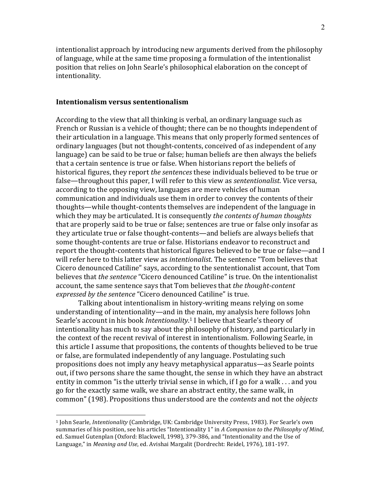intentionalist approach by introducing new arguments derived from the philosophy of language, while at the same time proposing a formulation of the intentionalist position that relies on John Searle's philosophical elaboration on the concept of intentionality.

### **Intentionalism'versus'sententionalism**

 $\overline{a}$ 

According to the view that all thinking is verbal, an ordinary language such as French or Russian is a vehicle of thought; there can be no thoughts independent of their articulation in a language. This means that only properly formed sentences of ordinary languages (but not thought-contents, conceived of as independent of any language) can be said to be true or false; human beliefs are then always the beliefs that a certain sentence is true or false. When historians report the beliefs of historical figures, they report *the sentences* these individuals believed to be true or false—throughout this paper, I will refer to this view as *sententionalist*. Vice versa, according to the opposing view, languages are mere vehicles of human communication and individuals use them in order to convey the contents of their thoughts—while thought-contents themselves are independent of the language in which they may be articulated. It is consequently *the contents of human thoughts* that are properly said to be true or false; sentences are true or false only insofar as they articulate true or false thought-contents—and beliefs are always beliefs that some thought-contents are true or false. Historians endeavor to reconstruct and report the thought-contents that historical figures believed to be true or false—and I will refer here to this latter view as *intentionalist*. The sentence "Tom believes that Cicero denounced Catiline" says, according to the sententionalist account, that Tom believes that *the sentence* "Cicero denounced Catiline" is true. On the intentionalist account, the same sentence says that Tom believes that *the thought-content expressed by the sentence* "Cicero denounced Catiline" is true.

Talking about intentionalism in history-writing means relying on some understanding of intentionality—and in the main, my analysis here follows John Searle's account in his book *Intentionality*.<sup>1</sup> I believe that Searle's theory of intentionality has much to say about the philosophy of history, and particularly in the context of the recent revival of interest in intentionalism. Following Searle, in this article I assume that propositions, the contents of thoughts believed to be true or false, are formulated independently of any language. Postulating such propositions does not imply any heavy metaphysical apparatus—as Searle points out, if two persons share the same thought, the sense in which they have an abstract entity in common "is the utterly trivial sense in which, if I go for a walk ... and you go for the exactly same walk, we share an abstract entity, the same walk, in common" (198). Propositions thus understood are the *contents* and not the *objects* 

<sup>&</sup>lt;sup>1</sup> John Searle, *Intentionality* (Cambridge, UK: Cambridge University Press, 1983). For Searle's own summaries of his position, see his articles "Intentionality 1" in A Companion to the Philosophy of Mind, ed. Samuel Gutenplan (Oxford: Blackwell, 1998), 379-386, and "Intentionality and the Use of Language," in *Meaning and Use*, ed. Avishai Margalit (Dordrecht: Reidel, 1976), 181-197.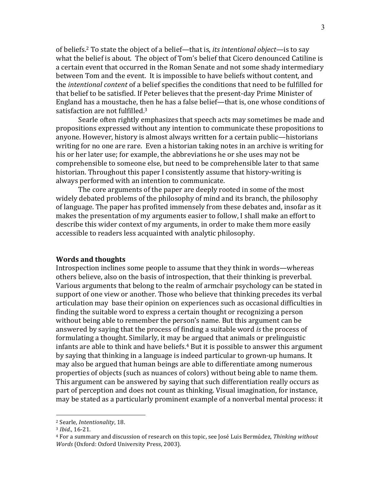of beliefs.<sup>2</sup> To state the object of a belief—that is, *its intentional object—is* to say what the belief is about. The object of Tom's belief that Cicero denounced Catiline is a certain event that occurred in the Roman Senate and not some shady intermediary between Tom and the event. It is impossible to have beliefs without content, and the *intentional content* of a belief specifies the conditions that need to be fulfilled for that belief to be satisfied. If Peter believes that the present-day Prime Minister of England has a moustache, then he has a false belief—that is, one whose conditions of satisfaction are not fulfilled.<sup>3</sup>

Searle often rightly emphasizes that speech acts may sometimes be made and propositions expressed without any intention to communicate these propositions to anyone. However, history is almost always written for a certain public—historians writing for no one are rare. Even a historian taking notes in an archive is writing for his or her later use; for example, the abbreviations he or she uses may not be comprehensible to someone else, but need to be comprehensible later to that same historian. Throughout this paper I consistently assume that history-writing is always performed with an intention to communicate.

The core arguments of the paper are deeply rooted in some of the most widely debated problems of the philosophy of mind and its branch, the philosophy of language. The paper has profited immensely from these debates and, insofar as it makes the presentation of my arguments easier to follow, I shall make an effort to describe this wider context of my arguments, in order to make them more easily accessible to readers less acquainted with analytic philosophy.

## **Words'and'thoughts**

Introspection inclines some people to assume that they think in words—whereas others believe, also on the basis of introspection, that their thinking is preverbal. Various arguments that belong to the realm of armchair psychology can be stated in support of one view or another. Those who believe that thinking precedes its verbal articulation may base their opinion on experiences such as occasional difficulties in finding the suitable word to express a certain thought or recognizing a person without being able to remember the person's name. But this argument can be answered by saying that the process of finding a suitable word *is* the process of formulating a thought. Similarly, it may be argued that animals or prelinguistic infants are able to think and have beliefs.<sup>4</sup> But it is possible to answer this argument by saying that thinking in a language is indeed particular to grown-up humans. It may also be argued that human beings are able to differentiate among numerous properties of objects (such as nuances of colors) without being able to name them. This argument can be answered by saying that such differentiation really occurs as part of perception and does not count as thinking. Visual imagination, for instance, may be stated as a particularly prominent example of a nonverbal mental process: it

<sup>&</sup>lt;sup>2</sup> Searle, *Intentionality*, 18.

<sup>&</sup>lt;sup>3</sup> *Ibid.*, 16-21.

<sup>&</sup>lt;sup>4</sup> For a summary and discussion of research on this topic, see José Luis Bermúdez, *Thinking without Words* (Oxford: Oxford University Press, 2003).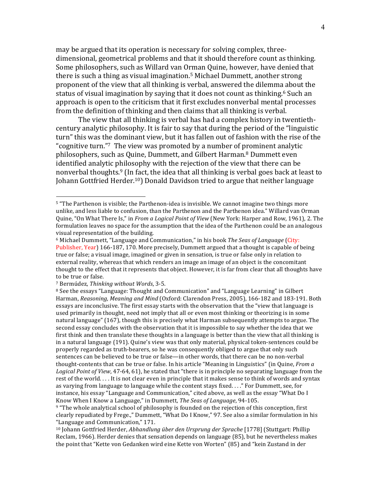may be argued that its operation is necessary for solving complex, threedimensional, geometrical problems and that it should therefore count as thinking. Some philosophers, such as Willard van Orman Quine, however, have denied that there is such a thing as visual imagination.<sup>5</sup> Michael Dummett, another strong proponent of the view that all thinking is verbal, answered the dilemma about the status of visual imagination by saying that it does not count as thinking.<sup>6</sup> Such an approach is open to the criticism that it first excludes nonverbal mental processes from the definition of thinking and then claims that all thinking is verbal.

The view that all thinking is verbal has had a complex history in twentiethcentury analytic philosophy. It is fair to say that during the period of the "linguistic" turn" this was the dominant view, but it has fallen out of fashion with the rise of the "cognitive turn."<sup>7</sup> The view was promoted by a number of prominent analytic philosophers, such as Quine, Dummett, and Gilbert Harman.<sup>8</sup> Dummett even identified analytic philosophy with the rejection of the view that there can be nonverbal thoughts.<sup>9</sup> (In fact, the idea that all thinking is verbal goes back at least to Johann Gottfried Herder.<sup>10</sup>) Donald Davidson tried to argue that neither language

 $5$  "The Parthenon is visible; the Parthenon-idea is invisible. We cannot imagine two things more unlike, and less liable to confusion, than the Parthenon and the Parthenon idea." Willard van Orman Quine, "On What There Is," in *From a Logical Point of View* (New York: Harper and Row, 1961), 2. The formulation leaves no space for the assumption that the idea of the Parthenon could be an analogous visual representation of the building.

<sup>&</sup>lt;sup>6</sup> Michael Dummett, "Language and Communication," in his book *The Seas of Language* (City: Publisher, Year) 166-187, 170. More precisely, Dummett argued that a thought is capable of being true or false; a visual image, imagined or given in sensation, is true or false only in relation to external reality, whereas that which renders an image an image of an object is the concomitant thought to the effect that it represents that object. However, it is far from clear that all thoughts have to be true or false.

<sup>&</sup>lt;sup>7</sup> Bermúdez, *Thinking without Words*, 3-5.

 $8$  See the essays "Language: Thought and Communication" and "Language Learning" in Gilbert Harman, *Reasoning, Meaning and Mind* (Oxford: Clarendon Press, 2005), 166-182 and 183-191. Both essays are inconclusive. The first essay starts with the observation that the "view that language is used primarily in thought, need not imply that all or even most thinking or theorizing is in some natural language" (167), though this is precisely what Harman subsequently attempts to argue. The second essay concludes with the observation that it is impossible to say whether the idea that we first think and then translate these thoughts in a language is better than the view that all thinking is in a natural language (191). Quine's view was that only material, physical token-sentences could be properly regarded as truth-bearers, so he was consequently obliged to argue that only such sentences can be believed to be true or false—in other words, that there can be no non-verbal thought-contents that can be true or false. In his article "Meaning in Linguistics" (in Quine, *From a Logical Point of View,* 47-64, 61), he stated that "there is in principle no separating language from the rest of the world.... It is not clear even in principle that it makes sense to think of words and syntax as varying from language to language while the content stays fixed...." For Dummett, see, for instance, his essay "Language and Communication," cited above, as well as the essay "What Do I Know When I Know a Language," in Dummett, The Seas of Language. 94-105.

<sup>9 &</sup>quot;The whole analytical school of philosophy is founded on the rejection of this conception, first clearly repudiated by Frege.," Dummett, "What Do I Know," 97. See also a similar formulation in his "Language and Communication," 171.

<sup>&</sup>lt;sup>10</sup> Johann Gottfried Herder, *Abhandlung über den Ursprung der Sprache* [1778] (Stuttgart: Phillip Reclam, 1966). Herder denies that sensation depends on language (85), but he nevertheless makes the point that "Kette von Gedanken wird eine Kette von Worten" (85) and "kein Zustand in der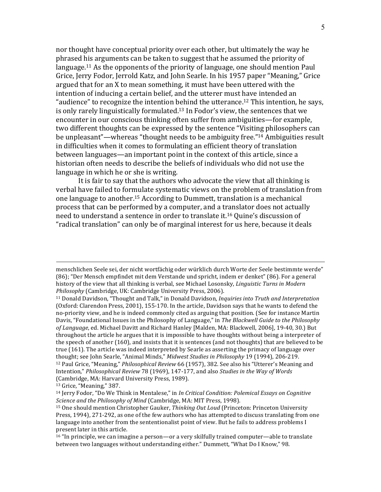nor thought have conceptual priority over each other, but ultimately the way he phrased his arguments can be taken to suggest that he assumed the priority of language.<sup>11</sup> As the opponents of the priority of language, one should mention Paul Grice, Jerry Fodor, Jerrold Katz, and John Searle. In his 1957 paper "Meaning," Grice argued that for an X to mean something, it must have been uttered with the intention of inducing a certain belief, and the utterer must have intended an "audience" to recognize the intention behind the utterance.<sup>12</sup> This intention, he says, is only rarely linguistically formulated.<sup>13</sup> In Fodor's view, the sentences that we encounter in our conscious thinking often suffer from ambiguities—for example, two different thoughts can be expressed by the sentence "Visiting philosophers can be unpleasant"—whereas "thought needs to be ambiguity free."<sup>14</sup> Ambiguities result in difficulties when it comes to formulating an efficient theory of translation between languages—an important point in the context of this article, since a historian often needs to describe the beliefs of individuals who did not use the language in which he or she is writing.

It is fair to say that the authors who advocate the view that all thinking is verbal have failed to formulate systematic views on the problem of translation from one language to another.<sup>15</sup> According to Dummett, translation is a mechanical process that can be performed by a computer, and a translator does not actually need to understand a sentence in order to translate it.<sup>16</sup> Ouine's discussion of "radical translation" can only be of marginal interest for us here, because it deals

menschlichen Seele sei, der nicht wortfächig oder würklich durch Worte der Seele bestimmte werde" (86); "Der Mensch empfindet mit dem Verstande und spricht, indem er denket" (86). For a general history of the view that all thinking is verbal, see Michael Losonsky, Linguistic Turns in Modern Philosophy (Cambridge, UK: Cambridge University Press, 2006).

<sup>&</sup>lt;sup>11</sup> Donald Davidson, "Thought and Talk," in Donald Davidson, *Inquiries into Truth and Interpretation* (Oxford: Clarendon Press, 2001), 155-170. In the article, Davidson says that he wants to defend the no-priority view, and he is indeed commonly cited as arguing that position. (See for instance Martin Davis, "Foundational Issues in the Philosophy of Language," in The Blackwell Guide to the Philosophy of Language, ed. Michael Davitt and Richard Hanley [Malden, MA: Blackwell, 2006], 19-40, 30.) But throughout the article he argues that it is impossible to have thoughts without being a interpreter of the speech of another (160), and insists that it is sentences (and not thoughts) that are believed to be true (161). The article was indeed interpreted by Searle as asserting the primacy of language over thought; see John Searle, "Animal Minds," Midwest Studies in Philosophy 19 (1994), 206-219. <sup>12</sup> Paul Grice, "Meaning," *Philosophical Review* 66 (1957), 382. See also his "Utterer's Meaning and Intention," Philosophical Review 78 (1969), 147-177, and also Studies in the Way of Words (Cambridge, MA: Harvard University Press, 1989).

<sup>&</sup>lt;sup>13</sup> Grice, "Meaning," 387.

<sup>&</sup>lt;sup>14</sup> Jerry Fodor, "Do We Think in Mentalese," in *In Critical Condition: Polemical Essays on Cognitive* Science and the Philosophy of Mind (Cambridge, MA: MIT Press, 1998).

<sup>&</sup>lt;sup>15</sup> One should mention Christopher Gauker, *Thinking Out Loud* (Princeton: Princeton University Press, 1994), 271-292, as one of the few authors who has attempted to discuss translating from one language into another from the sententionalist point of view. But he fails to address problems I present later in this article.

 $16$  "In principle, we can imagine a person—or a very skilfully trained computer—able to translate between two languages without understanding either." Dummett, "What Do I Know," 98.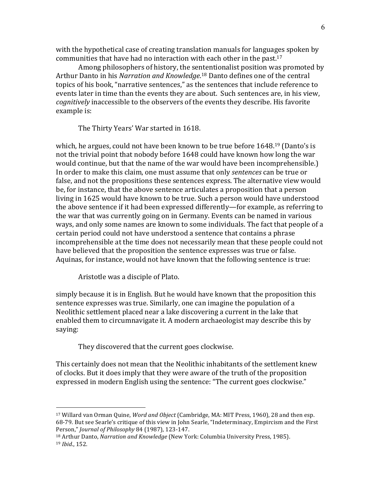with the hypothetical case of creating translation manuals for languages spoken by communities that have had no interaction with each other in the past.<sup>17</sup>

Among philosophers of history, the sententionalist position was promoted by Arthur Danto in his *Narration and Knowledge*.<sup>18</sup> Danto defines one of the central topics of his book, "narrative sentences," as the sentences that include reference to events later in time than the events they are about. Such sentences are, in his view, *cognitively* inaccessible to the observers of the events they describe. His favorite example is:

The Thirty Years' War started in 1618.

which, he argues, could not have been known to be true before  $1648<sup>19</sup>$  (Danto's is not the trivial point that nobody before 1648 could have known how long the war would continue, but that the name of the war would have been incomprehensible.) In order to make this claim, one must assume that only *sentences* can be true or false, and not the propositions these sentences express. The alternative view would be, for instance, that the above sentence articulates a proposition that a person living in 1625 would have known to be true. Such a person would have understood the above sentence if it had been expressed differently—for example, as referring to the war that was currently going on in Germany. Events can be named in various ways, and only some names are known to some individuals. The fact that people of a certain period could not have understood a sentence that contains a phrase incomprehensible at the time does not necessarily mean that these people could not have believed that the proposition the sentence expresses was true or false. Aquinas, for instance, would not have known that the following sentence is true:

Aristotle was a disciple of Plato.

 $\overline{a}$ 

simply because it is in English. But he would have known that the proposition this sentence expresses was true. Similarly, one can imagine the population of a Neolithic settlement placed near a lake discovering a current in the lake that enabled them to circumnavigate it. A modern archaeologist may describe this by saying:

They discovered that the current goes clockwise.

This certainly does not mean that the Neolithic inhabitants of the settlement knew of clocks. But it does imply that they were aware of the truth of the proposition expressed in modern English using the sentence: "The current goes clockwise."

<sup>&</sup>lt;sup>17</sup> Willard van Orman Quine, *Word and Object* (Cambridge, MA: MIT Press, 1960), 28 and then esp. 68-79. But see Searle's critique of this view in John Searle, "Indeterminacy, Empircism and the First Person," *Journal of Philosophy* 84 (1987), 123-147.

<sup>&</sup>lt;sup>18</sup> Arthur Danto, *Narration and Knowledge* (New York: Columbia University Press, 1985). 19 *Ibid.*, 152.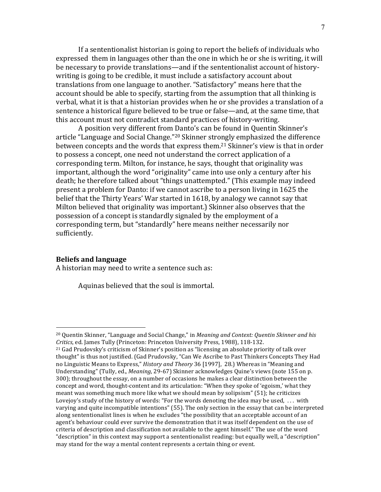If a sententionalist historian is going to report the beliefs of individuals who expressed them in languages other than the one in which he or she is writing, it will be necessary to provide translations—and if the sententionalist account of historywriting is going to be credible, it must include a satisfactory account about translations from one language to another. "Satisfactory" means here that the account should be able to specify, starting from the assumption that all thinking is verbal, what it is that a historian provides when he or she provides a translation of a sentence a historical figure believed to be true or false—and, at the same time, that this account must not contradict standard practices of history-writing.

A position very different from Danto's can be found in Quentin Skinner's article "Language and Social Change."<sup>20</sup> Skinner strongly emphasized the difference between concepts and the words that express them.<sup>21</sup> Skinner's view is that in order to possess a concept, one need not understand the correct application of a corresponding term. Milton, for instance, he says, thought that originality was important, although the word "originality" came into use only a century after his death; he therefore talked about "things unattempted." (This example may indeed present a problem for Danto: if we cannot ascribe to a person living in 1625 the belief that the Thirty Years' War started in 1618, by analogy we cannot say that Milton believed that originality was important.) Skinner also observes that the possession of a concept is standardly signaled by the employment of a corresponding term, but "standardly" here means neither necessarily nor sufficiently.

## **Beliefs'and'language**

 $\overline{a}$ 

A historian may need to write a sentence such as:

Aquinas believed that the soul is immortal.

<sup>&</sup>lt;sup>20</sup> Quentin Skinner, "Language and Social Change," in *Meaning and Context: Quentin Skinner and his Critics*, ed. James Tully (Princeton: Princeton University Press, 1988), 118-132.

 $21$  Gad Prudovsky's criticism of Skinner's position as "licensing an absolute priority of talk over thought" is thus not justified. (Gad Prudovsky, "Can We Ascribe to Past Thinkers Concepts They Had no Linguistic Means to Express," *History and Theory* 36 [1997], 28.) Whereas in "Meaning and Understanding" (Tully, ed., *Meaning*, 29-67) Skinner acknowledges Quine's views (note 155 on p. 300); throughout the essay, on a number of occasions he makes a clear distinction between the concept and word, thought-content and its articulation: "When they spoke of 'egoism,' what they meant was something much more like what we should mean by solipsism" (51); he criticizes Lovejoy's study of the history of words: "For the words denoting the idea may be used,  $\ldots$  with varying and quite incompatible intentions" (55). The only section in the essay that can be interpreted along sententionalist lines is when he excludes "the possibility that an acceptable account of an agent's behaviour could ever survive the demonstration that it was itself dependent on the use of criteria of description and classification not available to the agent himself." The use of the word "description" in this context may support a sententionalist reading: but equally well, a "description" may stand for the way a mental content represents a certain thing or event.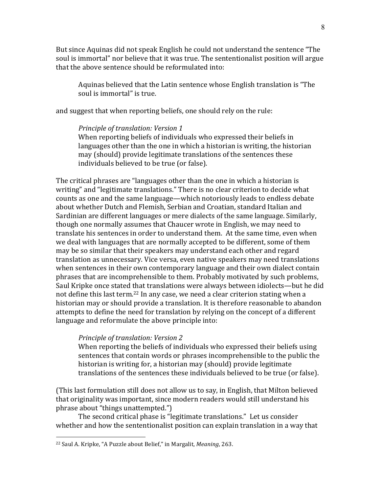But since Aquinas did not speak English he could not understand the sentence "The soul is immortal" nor believe that it was true. The sententionalist position will argue that the above sentence should be reformulated into:

Aquinas believed that the Latin sentence whose English translation is "The soul is immortal" is true.

and suggest that when reporting beliefs, one should rely on the rule:

# *Principle of translation: Version 1*

When reporting beliefs of individuals who expressed their beliefs in languages other than the one in which a historian is writing, the historian may (should) provide legitimate translations of the sentences these individuals believed to be true (or false).

The critical phrases are "languages other than the one in which a historian is writing" and "legitimate translations." There is no clear criterion to decide what counts as one and the same language—which notoriously leads to endless debate about whether Dutch and Flemish, Serbian and Croatian, standard Italian and Sardinian are different languages or mere dialects of the same language. Similarly, though one normally assumes that Chaucer wrote in English, we may need to translate his sentences in order to understand them. At the same time, even when we deal with languages that are normally accepted to be different, some of them may be so similar that their speakers may understand each other and regard translation as unnecessary. Vice versa, even native speakers may need translations when sentences in their own contemporary language and their own dialect contain phrases that are incomprehensible to them. Probably motivated by such problems, Saul Kripke once stated that translations were always between idiolects—but he did not define this last term.<sup>22</sup> In any case, we need a clear criterion stating when a historian may or should provide a translation. It is therefore reasonable to abandon attempts to define the need for translation by relying on the concept of a different language and reformulate the above principle into:

## *Principle of translation: Version 2*

When reporting the beliefs of individuals who expressed their beliefs using sentences that contain words or phrases incomprehensible to the public the historian is writing for, a historian may (should) provide legitimate translations of the sentences these individuals believed to be true (or false).

(This last formulation still does not allow us to say, in English, that Milton believed that originality was important, since modern readers would still understand his phrase about "things unattempted.")

The second critical phase is "legitimate translations." Let us consider whether and how the sententionalist position can explain translation in a way that

<sup>&</sup>lt;sup>22</sup> Saul A. Kripke, "A Puzzle about Belief," in Margalit, *Meaning*, 263.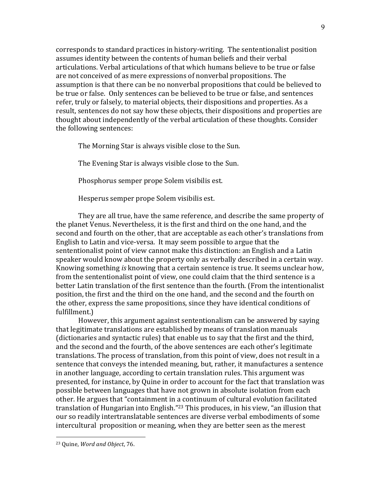corresponds to standard practices in history-writing. The sententionalist position assumes identity between the contents of human beliefs and their verbal articulations. Verbal articulations of that which humans believe to be true or false are not conceived of as mere expressions of nonverbal propositions. The assumption is that there can be no nonverbal propositions that could be believed to be true or false. Only sentences can be believed to be true or false, and sentences refer, truly or falsely, to material objects, their dispositions and properties. As a result, sentences do not say how these objects, their dispositions and properties are thought about independently of the verbal articulation of these thoughts. Consider the following sentences:

The Morning Star is always visible close to the Sun.

The Evening Star is always visible close to the Sun.

Phosphorus semper prope Solem visibilis est.

Hesperus semper prope Solem visibilis est.

They are all true, have the same reference, and describe the same property of the planet Venus. Nevertheless, it is the first and third on the one hand, and the second and fourth on the other, that are acceptable as each other's translations from English to Latin and vice-versa. It may seem possible to argue that the sententionalist point of view cannot make this distinction: an English and a Latin speaker would know about the property only as verbally described in a certain way. Knowing something *is* knowing that a certain sentence is true. It seems unclear how, from the sententionalist point of view, one could claim that the third sentence is a better Latin translation of the first sentence than the fourth. (From the intentionalist position, the first and the third on the one hand, and the second and the fourth on the other, express the same propositions, since they have identical conditions of fulfillment.)

However, this argument against sententionalism can be answered by saying that legitimate translations are established by means of translation manuals (dictionaries and syntactic rules) that enable us to say that the first and the third, and the second and the fourth, of the above sentences are each other's legitimate translations. The process of translation, from this point of view, does not result in a sentence that conveys the intended meaning, but, rather, it manufactures a sentence in another language, according to certain translation rules. This argument was presented, for instance, by Quine in order to account for the fact that translation was possible between languages that have not grown in absolute isolation from each other. He argues that "containment in a continuum of cultural evolution facilitated translation of Hungarian into English."<sup>23</sup> This produces, in his view, "an illusion that our so readily intertranslatable sentences are diverse verbal embodiments of some intercultural proposition or meaning, when they are better seen as the merest

<sup>&</sup>lt;sup>23</sup> Quine, *Word and Object*, 76.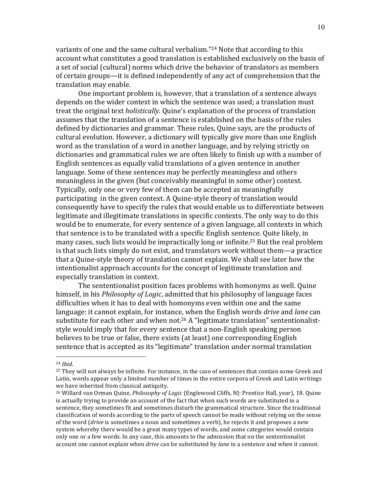variants of one and the same cultural verbalism."<sup>24</sup> Note that according to this account what constitutes a good translation is established exclusively on the basis of a set of social (cultural) norms which drive the behavior of translators as members of certain groups—it is defined independently of any act of comprehension that the translation may enable.

One important problem is, however, that a translation of a sentence always of depends on the wider context in which the sentence was used; a translation must treat the original text *holistically.* Quine's explanation of the process of translation assumes that the translation of a sentence is established on the basis of the rules defined by dictionaries and grammar. These rules, Quine says, are the products of cultural evolution. However, a dictionary will typically give more than one English word as the translation of a word in another language, and by relying strictly on dictionaries and grammatical rules we are often likely to finish up with a number of English sentences as equally valid translations of a given sentence in another language. Some of these sentences may be perfectly meaningless and others meaningless in the given (but conceivably meaningful in some other) context. Typically, only one or very few of them can be accepted as meaningfully participating in the given context. A Quine-style theory of translation would consequently have to specify the rules that would enable us to differentiate between legitimate and illegitimate translations in specific contexts. The only way to do this would be to enumerate, for every sentence of a given language, all contexts in which that sentence is to be translated with a specific English sentence. Quite likely, in many cases, such lists would be impractically long or infinite.<sup>25</sup> But the real problem is that such lists simply do not exist, and translators work without them—a practice that a Quine-style theory of translation cannot explain. We shall see later how the intentionalist approach accounts for the concept of legitimate translation and especially translation in context.

The sententionalist position faces problems with homonyms as well. Quine himself, in his *Philosophy of Logic*, admitted that his philosophy of language faces difficulties when it has to deal with homonyms even within one and the same language: it cannot explain, for instance, when the English words *drive* and *lane* can substitute for each other and when not.<sup>26</sup> A "legitimate translation" sententionaliststyle would imply that for every sentence that a non-English speaking person believes to be true or false, there exists (at least) one corresponding English sentence that is accepted as its "legitimate" translation under normal translation

<sup>24</sup> *Ibid*.

 $25$  They will not always be infinite. For instance, in the case of sentences that contain some Greek and Latin, words appear only a limited number of times in the entire corpora of Greek and Latin writings we have inherited from classical antiquity.

<sup>&</sup>lt;sup>26</sup> Willard van Orman Quine, *Philosophy of Logic* (Englewood Cliffs, NJ: Prentice Hall, year), 18. Quine is actually trying to provide an account of the fact that when such words are substituted in a sentence, they sometimes fit and sometimes disturb the grammatical structure. Since the traditional classification of words according to the parts of speech cannot be made without relying on the sense of the word (*drive* is sometimes a noun and sometimes a verb), he rejects it and proposes a new system whereby there would be a great many types of words, and some categories would contain only one or a few words. In any case, this amounts to the admission that on the sententionalist account one cannot explain when *drive* can be substituted by *lane* in a sentence and when it cannot.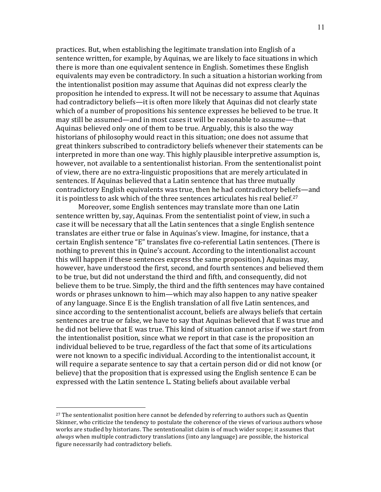practices. But, when establishing the legitimate translation into English of a sentence written, for example, by Aquinas, we are likely to face situations in which there is more than one equivalent sentence in English. Sometimes these English equivalents may even be contradictory. In such a situation a historian working from the intentionalist position may assume that Aquinas did not express clearly the proposition he intended to express. It will not be necessary to assume that Aquinas had contradictory beliefs—it is often more likely that Aquinas did not clearly state which of a number of propositions his sentence expresses he believed to be true. It may still be assumed—and in most cases it will be reasonable to assume—that Aquinas believed only one of them to be true. Arguably, this is also the way historians of philosophy would react in this situation; one does not assume that great thinkers subscribed to contradictory beliefs whenever their statements can be interpreted in more than one way. This highly plausible interpretive assumption is, however, not available to a sententionalist historian. From the sententionalist point of view, there are no extra-linguistic propositions that are merely articulated in sentences. If Aquinas believed that a Latin sentence that has three mutually contradictory English equivalents was true, then he had contradictory beliefs—and it is pointless to ask which of the three sentences articulates his real belief.<sup>27</sup>

Moreover, some English sentences may translate more than one Latin sentence written by, say, Aquinas. From the sententialist point of view, in such a case it will be necessary that all the Latin sentences that a single English sentence translates are either true or false in Aquinas's view. Imagine, for instance, that a certain English sentence "E" translates five co-referential Latin sentences. (There is nothing to prevent this in Quine's account. According to the intentionalist account this will happen if these sentences express the same proposition.) Aquinas may, however, have understood the first, second, and fourth sentences and believed them to be true, but did not understand the third and fifth, and consequently, did not believe them to be true. Simply, the third and the fifth sentences may have contained words or phrases unknown to him—which may also happen to any native speaker of any language. Since E is the English translation of all five Latin sentences, and since according to the sententionalist account, beliefs are always beliefs that certain sentences are true or false, we have to say that Aquinas believed that E was true and he did not believe that E was true. This kind of situation cannot arise if we start from the intentionalist position, since what we report in that case is the proposition an individual believed to be true, regardless of the fact that some of its articulations were not known to a specific individual. According to the intentionalist account, it will require a separate sentence to say that a certain person did or did not know (or believe) that the proposition that is expressed using the English sentence E can be expressed with the Latin sentence L. Stating beliefs about available verbal

<sup>&</sup>lt;sup>27</sup> The sententionalist position here cannot be defended by referring to authors such as Quentin Skinner, who criticize the tendency to postulate the coherence of the views of various authors whose works are studied by historians. The sententionalist claim is of much wider scope; it assumes that always when multiple contradictory translations (into any language) are possible, the historical figure necessarily had contradictory beliefs.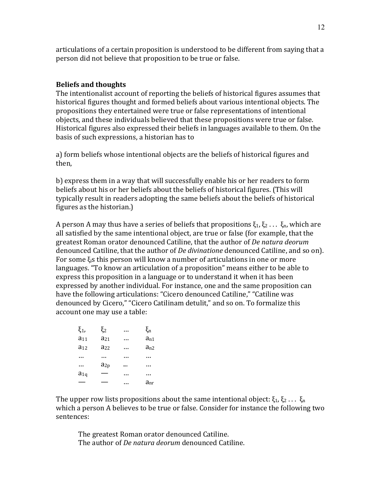articulations of a certain proposition is understood to be different from saying that a person did not believe that proposition to be true or false.

## **Beliefs and thoughts**

The intentionalist account of reporting the beliefs of historical figures assumes that historical figures thought and formed beliefs about various intentional objects. The propositions they entertained were true or false representations of intentional objects, and these individuals believed that these propositions were true or false. Historical figures also expressed their beliefs in languages available to them. On the basis of such expressions, a historian has to

a) form beliefs whose intentional objects are the beliefs of historical figures and then,

b) express them in a way that will successfully enable his or her readers to form beliefs about his or her beliefs about the beliefs of historical figures. (This will typically result in readers adopting the same beliefs about the beliefs of historical figures as the historian.)

A person A may thus have a series of beliefs that propositions  $\xi_1, \xi_2 \ldots \xi_n$ , which are all satisfied by the same intentional object, are true or false (for example, that the greatest Roman orator denounced Catiline, that the author of De natura deorum denounced Catiline, that the author of *De divinatione* denounced Catiline, and so on). For some  $\xi_i$ s this person will know a number of articulations in one or more languages. "To know an articulation of a proposition" means either to be able to express this proposition in a language or to understand it when it has been expressed by another individual. For instance, one and the same proposition can have the following articulations: "Cicero denounced Catiline," "Catiline was denounced by Cicero," "Cicero Catilinam detulit," and so on. To formalize this account one may use a table:

| ξ1,      | $\xi_2$  | . | $\xi_{\rm n}$ |
|----------|----------|---|---------------|
| $a_{11}$ | $a_{21}$ | . | $a_{n1}$      |
| $a_{12}$ | $a_{22}$ | . | $a_{n2}$      |
|          |          | . |               |
|          | $a_{2p}$ |   | .             |
| $a_{1q}$ |          |   |               |
|          |          |   | anr           |

The upper row lists propositions about the same intentional object:  $\xi_1, \xi_2 \ldots \xi_n$ which a person A believes to be true or false. Consider for instance the following two sentences:

The greatest Roman orator denounced Catiline. The author of *De natura deorum* denounced Catiline.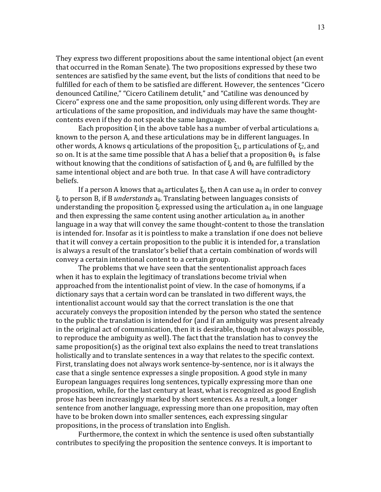They express two different propositions about the same intentional object (an event that occurred in the Roman Senate). The two propositions expressed by these two sentences are satisfied by the same event, but the lists of conditions that need to be fulfilled for each of them to be satisfied are different. However, the sentences "Cicero denounced Catiline," "Cicero Catilinem detulit," and "Catiline was denounced by Cicero" express one and the same proposition, only using different words. They are articulations of the same proposition, and individuals may have the same thoughtcontents even if they do not speak the same language.

Each proposition  $\xi$  in the above table has a number of verbal articulations  $a_i$ known to the person A, and these articulations may be in different languages. In other words, A knows q articulations of the proposition  $\xi_1$ , p articulations of  $\xi_2$ , and so on. It is at the same time possible that A has a belief that a proposition  $\theta_k$  is false without knowing that the conditions of satisfaction of  $\xi_i$  and  $\theta_k$  are fulfilled by the same intentional object and are both true. In that case A will have contradictory beliefs.

If a person A knows that  $a_{ii}$  articulates  $\xi_i$ , then A can use  $a_{ii}$  in order to convey  $\xi_i$  to person B, if B *understands*  $a_{ii}$ . Translating between languages consists of understanding the proposition  $\xi_i$  expressed using the articulation  $a_{ii}$  in one language and then expressing the same content using another articulation  $a_{ik}$  in another language in a way that will convey the same thought-content to those the translation is intended for. Insofar as it is pointless to make a translation if one does not believe that it will convey a certain proposition to the public it is intended for, a translation is always a result of the translator's belief that a certain combination of words will convey a certain intentional content to a certain group.

The problems that we have seen that the sententionalist approach faces when it has to explain the legitimacy of translations become trivial when approached from the intentionalist point of view. In the case of homonyms, if a dictionary says that a certain word can be translated in two different ways, the intentionalist account would say that the correct translation is the one that accurately conveys the proposition intended by the person who stated the sentence to the public the translation is intended for (and if an ambiguity was present already in the original act of communication, then it is desirable, though not always possible, to reproduce the ambiguity as well). The fact that the translation has to convey the same proposition $(s)$  as the original text also explains the need to treat translations holistically and to translate sentences in a way that relates to the specific context. First, translating does not always work sentence-by-sentence, nor is it always the case that a single sentence expresses a single proposition. A good style in many European languages requires long sentences, typically expressing more than one proposition, while, for the last century at least, what is recognized as good English prose has been increasingly marked by short sentences. As a result, a longer sentence from another language, expressing more than one proposition, may often have to be broken down into smaller sentences, each expressing singular propositions, in the process of translation into English.

Furthermore, the context in which the sentence is used often substantially contributes to specifying the proposition the sentence conveys. It is important to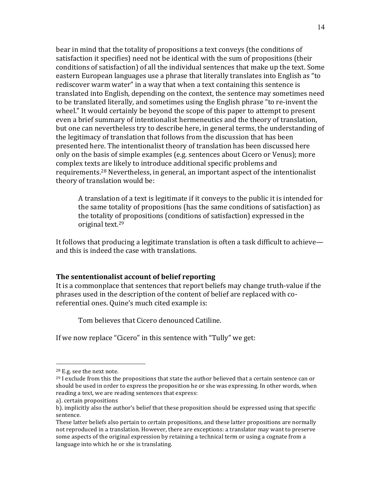bear in mind that the totality of propositions a text conveys (the conditions of satisfaction it specifies) need not be identical with the sum of propositions (their conditions of satisfaction) of all the individual sentences that make up the text. Some eastern European languages use a phrase that literally translates into English as "to" rediscover warm water" in a way that when a text containing this sentence is translated into English, depending on the context, the sentence may sometimes need to be translated literally, and sometimes using the English phrase "to re-invent the wheel." It would certainly be beyond the scope of this paper to attempt to present even a brief summary of intentionalist hermeneutics and the theory of translation, but one can nevertheless try to describe here, in general terms, the understanding of the legitimacy of translation that follows from the discussion that has been presented here. The intentionalist theory of translation has been discussed here only on the basis of simple examples (e.g. sentences about Cicero or Venus); more complex texts are likely to introduce additional specific problems and requirements.<sup>28</sup> Nevertheless, in general, an important aspect of the intentionalist theory of translation would be:

A translation of a text is legitimate if it conveys to the public it is intended for the same totality of propositions (has the same conditions of satisfaction) as the totality of propositions (conditions of satisfaction) expressed in the original text.<sup>29</sup>

It follows that producing a legitimate translation is often a task difficult to achieve and this is indeed the case with translations.

# The sententionalist account of belief reporting

It is a commonplace that sentences that report beliefs may change truth-value if the phrases used in the description of the content of belief are replaced with coreferential ones. Quine's much cited example is:

Tom believes that Cicero denounced Catiline.

If we now replace "Cicero" in this sentence with "Tully" we get:

 $28$  E.g. see the next note.

 $29$  I exclude from this the propositions that state the author believed that a certain sentence can or should be used in order to express the proposition he or she was expressing. In other words, when reading a text, we are reading sentences that express:

a). certain propositions

b). implicitly also the author's belief that these proposition should be expressed using that specific sentence.

These latter beliefs also pertain to certain propositions, and these latter propositions are normally not reproduced in a translation. However, there are exceptions: a translator may want to preserve some aspects of the original expression by retaining a technical term or using a cognate from a language into which he or she is translating.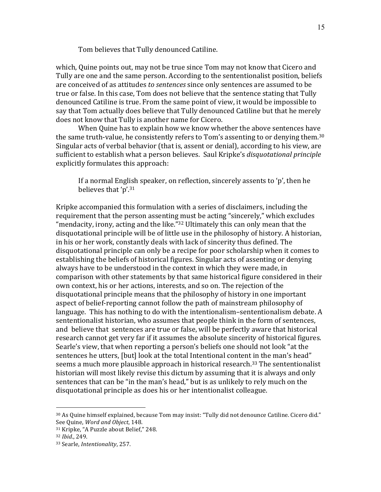Tom believes that Tully denounced Catiline.

which, Quine points out, may not be true since Tom may not know that Cicero and Tully are one and the same person. According to the sententionalist position, beliefs are conceived of as attitudes *to sentences* since only sentences are assumed to be true or false. In this case, Tom does not believe that the sentence stating that Tully denounced Catiline is true. From the same point of view, it would be impossible to say that Tom actually does believe that Tully denounced Catiline but that he merely does not know that Tully is another name for Cicero.

When Quine has to explain how we know whether the above sentences have the same truth-value, he consistently refers to Tom's assenting to or denying them.<sup>30</sup> Singular acts of verbal behavior (that is, assent or denial), according to his view, are sufficient to establish what a person believes. Saul Kripke's *disquotational principle* explicitly formulates this approach:

If a normal English speaker, on reflection, sincerely assents to 'p', then he believes that 'p'.<sup>31</sup>

Kripke accompanied this formulation with a series of disclaimers, including the requirement that the person assenting must be acting "sincerely," which excludes "mendacity, irony, acting and the like." $32$  Ultimately this can only mean that the disquotational principle will be of little use in the philosophy of history. A historian, in his or her work, constantly deals with lack of sincerity thus defined. The disquotational principle can only be a recipe for poor scholarship when it comes to establishing the beliefs of historical figures. Singular acts of assenting or denying always have to be understood in the context in which they were made, in comparison with other statements by that same historical figure considered in their own context, his or her actions, interests, and so on. The rejection of the disquotational principle means that the philosophy of history in one important aspect of belief-reporting cannot follow the path of mainstream philosophy of language. This has nothing to do with the intentionalism–sententionalism debate. A sententionalist historian, who assumes that people think in the form of sentences, and believe that sentences are true or false, will be perfectly aware that historical research cannot get very far if it assumes the absolute sincerity of historical figures. Searle's view, that when reporting a person's beliefs one should not look "at the sentences he utters, [but] look at the total Intentional content in the man's head" seems a much more plausible approach in historical research.<sup>33</sup> The sententionalist historian will most likely revise this dictum by assuming that it is always and only sentences that can be "in the man's head," but is as unlikely to rely much on the disquotational principle as does his or her intentionalist colleague.

<sup>30</sup> As Quine himself explained, because Tom may insist: "Tully did not denounce Catiline. Cicero did." See Quine, *Word and Object*, 148.

<sup>&</sup>lt;sup>31</sup> Kripke, "A Puzzle about Belief," 248.

<sup>32</sup> *Ibid*.,!249.

<sup>33</sup> Searle, *Intentionality*, 257.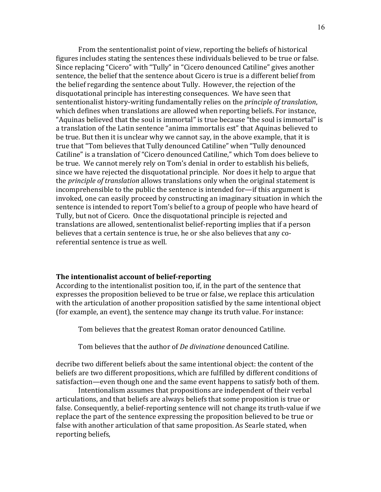From the sententionalist point of view, reporting the beliefs of historical figures includes stating the sentences these individuals believed to be true or false. Since replacing "Cicero" with "Tully" in "Cicero denounced Catiline" gives another sentence, the belief that the sentence about Cicero is true is a different belief from the belief regarding the sentence about Tully. However, the rejection of the disquotational principle has interesting consequences. We have seen that sententionalist history-writing fundamentally relies on the *principle of translation*, which defines when translations are allowed when reporting beliefs. For instance, "Aquinas believed that the soul is immortal" is true because "the soul is immortal" is a translation of the Latin sentence "anima immortalis est" that Aquinas believed to be true. But then it is unclear why we cannot say, in the above example, that it is true that "Tom believes that Tully denounced Catiline" when "Tully denounced Catiline" is a translation of "Cicero denounced Catiline," which Tom does believe to be true. We cannot merely rely on Tom's denial in order to establish his beliefs, since we have rejected the disquotational principle. Nor does it help to argue that the *principle of translation* allows translations only when the original statement is incomprehensible to the public the sentence is intended for—if this argument is invoked, one can easily proceed by constructing an imaginary situation in which the sentence is intended to report Tom's belief to a group of people who have heard of Tully, but not of Cicero. Once the disquotational principle is rejected and translations are allowed, sententionalist belief-reporting implies that if a person believes that a certain sentence is true, he or she also believes that any coreferential sentence is true as well.

# The intentionalist account of belief-reporting

According to the intentionalist position too, if, in the part of the sentence that expresses the proposition believed to be true or false, we replace this articulation with the articulation of another proposition satisfied by the same intentional object (for example, an event), the sentence may change its truth value. For instance:

Tom believes that the greatest Roman orator denounced Catiline.

Tom believes that the author of *De divinatione* denounced Catiline.

decribe two different beliefs about the same intentional object: the content of the beliefs are two different propositions, which are fulfilled by different conditions of satisfaction—even though one and the same event happens to satisfy both of them.

Intentionalism assumes that propositions are independent of their verbal articulations, and that beliefs are always beliefs that some proposition is true or false. Consequently, a belief-reporting sentence will not change its truth-value if we replace the part of the sentence expressing the proposition believed to be true or false with another articulation of that same proposition. As Searle stated, when reporting beliefs,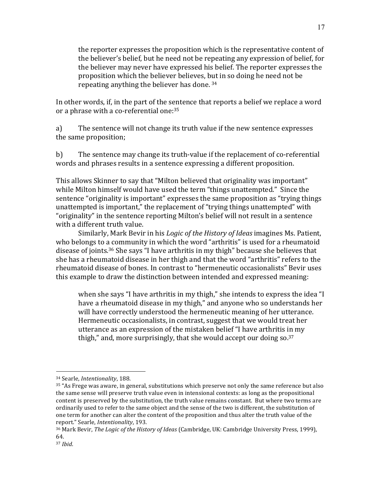the reporter expresses the proposition which is the representative content of the believer's belief, but he need not be repeating any expression of belief, for the believer may never have expressed his belief. The reporter expresses the proposition which the believer believes, but in so doing he need not be repeating anything the believer has done.  $34$ 

In other words, if, in the part of the sentence that reports a belief we replace a word or a phrase with a co-referential one: $35$ 

a) The sentence will not change its truth value if the new sentence expresses the same proposition;

b) The sentence may change its truth-value if the replacement of co-referential words and phrases results in a sentence expressing a different proposition.

This allows Skinner to say that "Milton believed that originality was important" while Milton himself would have used the term "things unattempted." Since the sentence "originality is important" expresses the same proposition as "trying things" unattempted is important," the replacement of "trying things unattempted" with "originality" in the sentence reporting Milton's belief will not result in a sentence with a different truth value.

Similarly, Mark Bevir in his *Logic of the History of Ideas* imagines Ms. Patient, who belongs to a community in which the word "arthritis" is used for a rheumatoid disease of joints.<sup>36</sup> She says "I have arthritis in my thigh" because she believes that she has a rheumatoid disease in her thigh and that the word "arthritis" refers to the rheumatoid disease of bones. In contrast to "hermeneutic occasionalists" Bevir uses this example to draw the distinction between intended and expressed meaning:

when she says "I have arthritis in my thigh," she intends to express the idea "I have a rheumatoid disease in my thigh," and anyone who so understands her will have correctly understood the hermeneutic meaning of her utterance. Hermeneutic occasionalists, in contrast, suggest that we would treat her utterance as an expression of the mistaken belief "I have arthritis in my thigh," and, more surprisingly, that she would accept our doing  $\text{so.}^{37}$ 

<sup>&</sup>lt;sup>34</sup> Searle, *Intentionality*, 188.

 $35$  "As Frege was aware, in general, substitutions which preserve not only the same reference but also the same sense will preserve truth value even in intensional contexts: as long as the propositional content is preserved by the substitution, the truth value remains constant. But where two terms are ordinarily used to refer to the same object and the sense of the two is different, the substitution of one term for another can alter the content of the proposition and thus alter the truth value of the report." Searle, *Intentionality*, 193.

<sup>&</sup>lt;sup>36</sup> Mark Bevir, *The Logic of the History of Ideas* (Cambridge, UK: Cambridge University Press, 1999), 64.

<sup>37</sup> *Ibid*.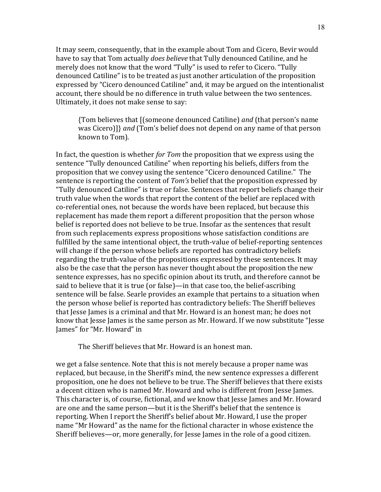It may seem, consequently, that in the example about Tom and Cicero, Bevir would have to say that Tom actually *does believe* that Tully denounced Catiline, and he merely does not know that the word "Tully" is used to refer to Cicero. "Tully denounced Catiline" is to be treated as just another articulation of the proposition expressed by "Cicero denounced Catiline" and, it may be argued on the intentionalist account, there should be no difference in truth value between the two sentences. Ultimately, it does not make sense to say:

{Tom believes that [(someone denounced Catiline) and (that person's name was Cicero]]} and (Tom's belief does not depend on any name of that person known to Tom).

In fact, the question is whether for Tom the proposition that we express using the sentence "Tully denounced Catiline" when reporting his beliefs, differs from the proposition that we convey using the sentence "Cicero denounced Catiline." The sentence is reporting the content of Tom's belief that the proposition expressed by "Tully denounced Catiline" is true or false. Sentences that report beliefs change their truth value when the words that report the content of the belief are replaced with co-referential ones, not because the words have been replaced, but because this replacement has made them report a different proposition that the person whose belief is reported does not believe to be true. Insofar as the sentences that result from such replacements express propositions whose satisfaction conditions are fulfilled by the same intentional object, the truth-value of belief-reporting sentences will change if the person whose beliefs are reported has contradictory beliefs regarding the truth-value of the propositions expressed by these sentences. It may also be the case that the person has never thought about the proposition the new sentence expresses, has no specific opinion about its truth, and therefore cannot be said to believe that it is true (or false)—in that case too, the belief-ascribing sentence will be false. Searle provides an example that pertains to a situation when the person whose belief is reported has contradictory beliefs: The Sheriff believes that Jesse James is a criminal and that Mr. Howard is an honest man; he does not know that Jesse James is the same person as Mr. Howard. If we now substitute "Jesse James" for "Mr. Howard" in

The Sheriff believes that Mr. Howard is an honest man.

we get a false sentence. Note that this is not merely because a proper name was replaced, but because, in the Sheriff's mind, the new sentence expresses a different proposition, one he does not believe to be true. The Sheriff believes that there exists a decent citizen who is named Mr. Howard and who is different from Jesse James. This character is, of course, fictional, and we know that Jesse James and Mr. Howard are one and the same person-but it is the Sheriff's belief that the sentence is reporting. When I report the Sheriff's belief about Mr. Howard, I use the proper name "Mr Howard" as the name for the fictional character in whose existence the Sheriff believes—or, more generally, for Jesse James in the role of a good citizen.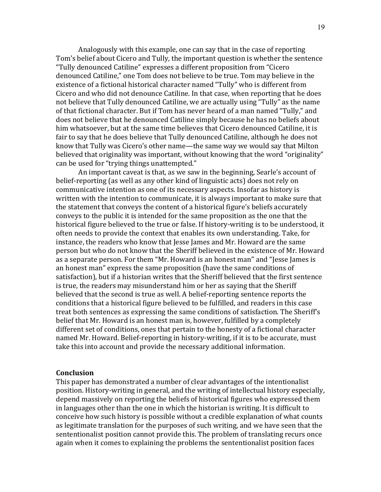Analogously with this example, one can say that in the case of reporting Tom's belief about Cicero and Tully, the important question is whether the sentence "Tully denounced Catiline" expresses a different proposition from "Cicero" denounced Catiline," one Tom does not believe to be true. Tom may believe in the existence of a fictional historical character named "Tully" who is different from Cicero and who did not denounce Catiline. In that case, when reporting that he does not believe that Tully denounced Catiline, we are actually using "Tully" as the name of that fictional character. But if Tom has never heard of a man named "Tully," and does not believe that he denounced Catiline simply because he has no beliefs about him whatsoever, but at the same time believes that Cicero denounced Catiline, it is fair to say that he does believe that Tully denounced Catiline, although he does not know that Tully was Cicero's other name—the same way we would say that Milton believed that originality was important, without knowing that the word "originality" can be used for "trying things unattempted."

An important caveat is that, as we saw in the beginning, Searle's account of belief-reporting (as well as any other kind of linguistic acts) does not rely on communicative intention as one of its necessary aspects. Insofar as history is written with the intention to communicate, it is always important to make sure that the statement that conveys the content of a historical figure's beliefs accurately conveys to the public it is intended for the same proposition as the one that the historical figure believed to the true or false. If history-writing is to be understood, it often needs to provide the context that enables its own understanding. Take, for instance, the readers who know that Jesse James and Mr. Howard are the same person but who do not know that the Sheriff believed in the existence of Mr. Howard as a separate person. For them "Mr. Howard is an honest man" and "Jesse James is an honest man" express the same proposition (have the same conditions of satisfaction), but if a historian writes that the Sheriff believed that the first sentence is true, the readers may misunderstand him or her as saying that the Sheriff believed that the second is true as well. A belief-reporting sentence reports the conditions that a historical figure believed to be fulfilled, and readers in this case treat both sentences as expressing the same conditions of satisfaction. The Sheriff's belief that Mr. Howard is an honest man is, however, fulfilled by a completely different set of conditions, ones that pertain to the honesty of a fictional character named Mr. Howard. Belief-reporting in history-writing, if it is to be accurate, must take this into account and provide the necessary additional information.

## **Conclusion**

This paper has demonstrated a number of clear advantages of the intentionalist position. History-writing in general, and the writing of intellectual history especially, depend massively on reporting the beliefs of historical figures who expressed them in languages other than the one in which the historian is writing. It is difficult to conceive how such history is possible without a credible explanation of what counts as legitimate translation for the purposes of such writing, and we have seen that the sententionalist position cannot provide this. The problem of translating recurs once again when it comes to explaining the problems the sententionalist position faces